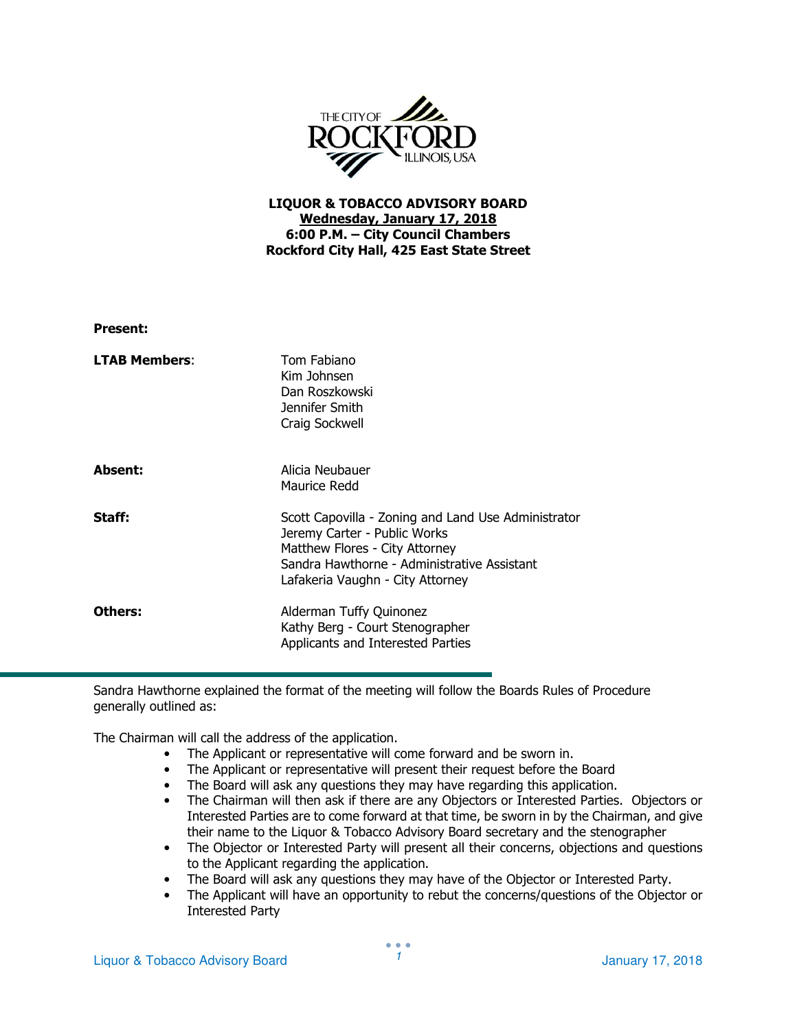

## LIQUOR & TOBACCO ADVISORY BOARD Wednesday, January 17, 2018 6:00 P.M. – City Council Chambers Rockford City Hall, 425 East State Street

| <b>Present:</b>      |                                                                                                                                                                                                          |
|----------------------|----------------------------------------------------------------------------------------------------------------------------------------------------------------------------------------------------------|
| <b>LTAB Members:</b> | Tom Fabiano<br>Kim Johnsen<br>Dan Roszkowski<br>Jennifer Smith<br>Craig Sockwell                                                                                                                         |
| Absent:              | Alicia Neubauer<br>Maurice Redd                                                                                                                                                                          |
| Staff:               | Scott Capovilla - Zoning and Land Use Administrator<br>Jeremy Carter - Public Works<br>Matthew Flores - City Attorney<br>Sandra Hawthorne - Administrative Assistant<br>Lafakeria Vaughn - City Attorney |
| Others:              | Alderman Tuffy Quinonez<br>Kathy Berg - Court Stenographer<br>Applicants and Interested Parties                                                                                                          |

Sandra Hawthorne explained the format of the meeting will follow the Boards Rules of Procedure generally outlined as:

The Chairman will call the address of the application.

- The Applicant or representative will come forward and be sworn in.
- The Applicant or representative will present their request before the Board
- The Board will ask any questions they may have regarding this application.
- The Chairman will then ask if there are any Objectors or Interested Parties. Objectors or Interested Parties are to come forward at that time, be sworn in by the Chairman, and give their name to the Liquor & Tobacco Advisory Board secretary and the stenographer
- The Objector or Interested Party will present all their concerns, objections and questions to the Applicant regarding the application.
- The Board will ask any questions they may have of the Objector or Interested Party.
- The Applicant will have an opportunity to rebut the concerns/questions of the Objector or Interested Party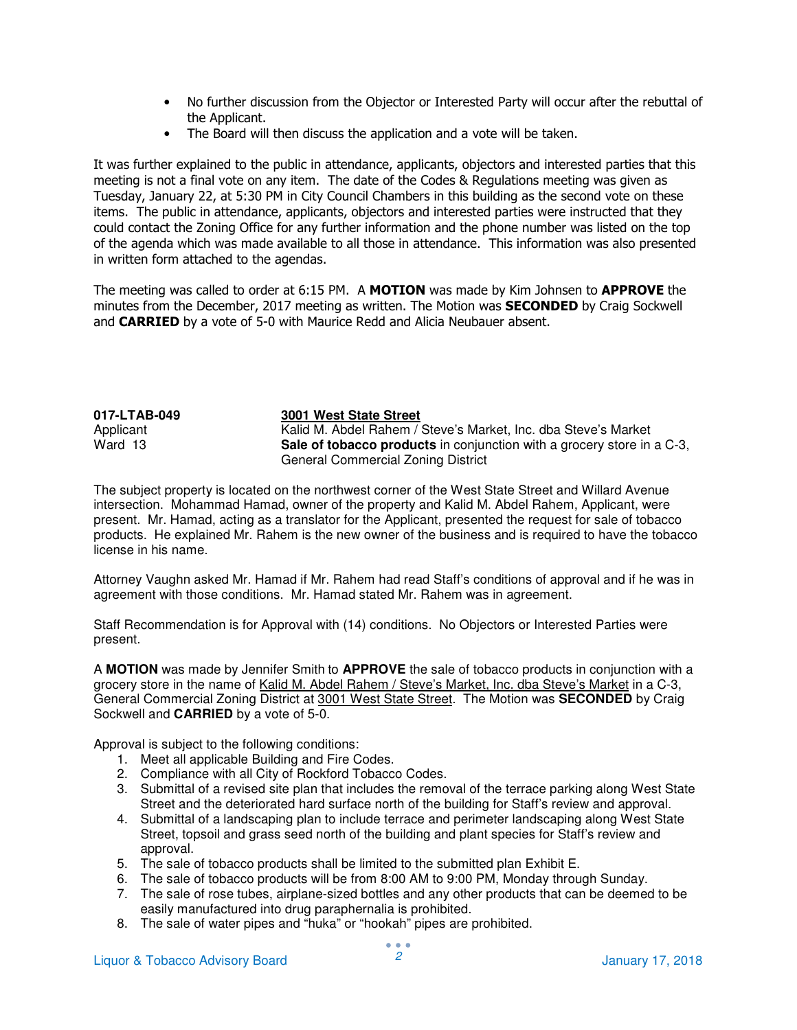- No further discussion from the Objector or Interested Party will occur after the rebuttal of the Applicant.
- The Board will then discuss the application and a vote will be taken.

It was further explained to the public in attendance, applicants, objectors and interested parties that this meeting is not a final vote on any item. The date of the Codes & Regulations meeting was given as Tuesday, January 22, at 5:30 PM in City Council Chambers in this building as the second vote on these items. The public in attendance, applicants, objectors and interested parties were instructed that they could contact the Zoning Office for any further information and the phone number was listed on the top of the agenda which was made available to all those in attendance. This information was also presented in written form attached to the agendas.

The meeting was called to order at 6:15 PM. A MOTION was made by Kim Johnsen to APPROVE the minutes from the December, 2017 meeting as written. The Motion was **SECONDED** by Craig Sockwell and **CARRIED** by a vote of 5-0 with Maurice Redd and Alicia Neubauer absent.

| 017-LTAB-049 | 3001 West State Street                                                        |
|--------------|-------------------------------------------------------------------------------|
| Applicant    | Kalid M. Abdel Rahem / Steve's Market, Inc. dba Steve's Market                |
| Ward 13      | <b>Sale of tobacco products</b> in conjunction with a grocery store in a C-3, |
|              | General Commercial Zoning District                                            |

The subject property is located on the northwest corner of the West State Street and Willard Avenue intersection. Mohammad Hamad, owner of the property and Kalid M. Abdel Rahem, Applicant, were present. Mr. Hamad, acting as a translator for the Applicant, presented the request for sale of tobacco products. He explained Mr. Rahem is the new owner of the business and is required to have the tobacco license in his name.

Attorney Vaughn asked Mr. Hamad if Mr. Rahem had read Staff's conditions of approval and if he was in agreement with those conditions. Mr. Hamad stated Mr. Rahem was in agreement.

Staff Recommendation is for Approval with (14) conditions. No Objectors or Interested Parties were present.

A **MOTION** was made by Jennifer Smith to **APPROVE** the sale of tobacco products in conjunction with a grocery store in the name of Kalid M. Abdel Rahem / Steve's Market, Inc. dba Steve's Market in a C-3, General Commercial Zoning District at 3001 West State Street. The Motion was **SECONDED** by Craig Sockwell and **CARRIED** by a vote of 5-0.

Approval is subject to the following conditions:

- 1. Meet all applicable Building and Fire Codes.
- 2. Compliance with all City of Rockford Tobacco Codes.
- 3. Submittal of a revised site plan that includes the removal of the terrace parking along West State Street and the deteriorated hard surface north of the building for Staff's review and approval.
- 4. Submittal of a landscaping plan to include terrace and perimeter landscaping along West State Street, topsoil and grass seed north of the building and plant species for Staff's review and approval.
- 5. The sale of tobacco products shall be limited to the submitted plan Exhibit E.
- 6. The sale of tobacco products will be from 8:00 AM to 9:00 PM, Monday through Sunday.
- 7. The sale of rose tubes, airplane-sized bottles and any other products that can be deemed to be easily manufactured into drug paraphernalia is prohibited.
- 8. The sale of water pipes and "huka" or "hookah" pipes are prohibited.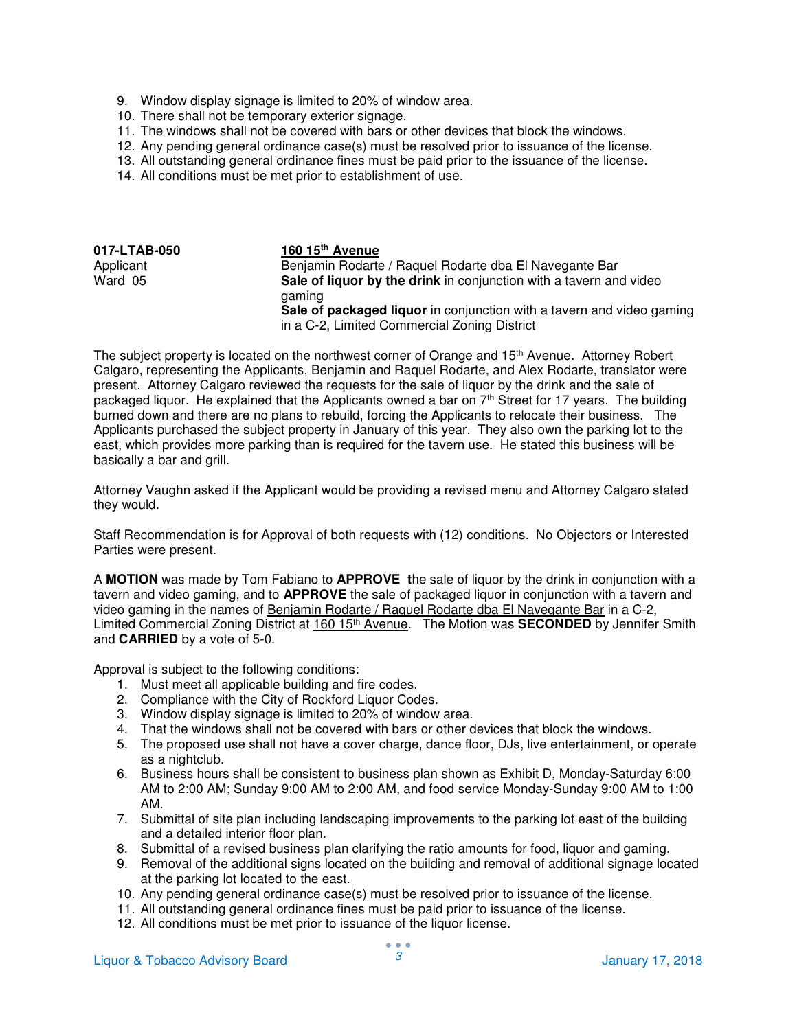- 9. Window display signage is limited to 20% of window area.
- 10. There shall not be temporary exterior signage.
- 11. The windows shall not be covered with bars or other devices that block the windows.
- 12. Any pending general ordinance case(s) must be resolved prior to issuance of the license.
- 13. All outstanding general ordinance fines must be paid prior to the issuance of the license.
- 14. All conditions must be met prior to establishment of use.

| 017-LTAB-050 | 160 15 <sup>th</sup> Avenue                                           |
|--------------|-----------------------------------------------------------------------|
| Applicant    | Benjamin Rodarte / Raquel Rodarte dba El Navegante Bar                |
| Ward 05      | Sale of liquor by the drink in conjunction with a tavern and video    |
|              | qaming                                                                |
|              | Sale of packaged liquor in conjunction with a tavern and video gaming |
|              | in a C-2, Limited Commercial Zoning District                          |

The subject property is located on the northwest corner of Orange and 15<sup>th</sup> Avenue. Attorney Robert Calgaro, representing the Applicants, Benjamin and Raquel Rodarte, and Alex Rodarte, translator were present. Attorney Calgaro reviewed the requests for the sale of liquor by the drink and the sale of packaged liquor. He explained that the Applicants owned a bar on 7<sup>th</sup> Street for 17 years. The building burned down and there are no plans to rebuild, forcing the Applicants to relocate their business. The Applicants purchased the subject property in January of this year. They also own the parking lot to the east, which provides more parking than is required for the tavern use. He stated this business will be basically a bar and grill.

Attorney Vaughn asked if the Applicant would be providing a revised menu and Attorney Calgaro stated they would.

Staff Recommendation is for Approval of both requests with (12) conditions. No Objectors or Interested Parties were present.

A **MOTION** was made by Tom Fabiano to **APPROVE t**he sale of liquor by the drink in conjunction with a tavern and video gaming, and to **APPROVE** the sale of packaged liquor in conjunction with a tavern and video gaming in the names of Benjamin Rodarte / Raquel Rodarte dba El Navegante Bar in a C-2, Limited Commercial Zoning District at 160 15<sup>th</sup> Avenue. The Motion was **SECONDED** by Jennifer Smith and **CARRIED** by a vote of 5-0.

Approval is subject to the following conditions:

- 1. Must meet all applicable building and fire codes.
- 2. Compliance with the City of Rockford Liquor Codes.
- 3. Window display signage is limited to 20% of window area.
- 4. That the windows shall not be covered with bars or other devices that block the windows.
- 5. The proposed use shall not have a cover charge, dance floor, DJs, live entertainment, or operate as a nightclub.
- 6. Business hours shall be consistent to business plan shown as Exhibit D, Monday-Saturday 6:00 AM to 2:00 AM; Sunday 9:00 AM to 2:00 AM, and food service Monday-Sunday 9:00 AM to 1:00 AM.
- 7. Submittal of site plan including landscaping improvements to the parking lot east of the building and a detailed interior floor plan.
- 8. Submittal of a revised business plan clarifying the ratio amounts for food, liquor and gaming.
- 9. Removal of the additional signs located on the building and removal of additional signage located at the parking lot located to the east.
- 10. Any pending general ordinance case(s) must be resolved prior to issuance of the license.
- 11. All outstanding general ordinance fines must be paid prior to issuance of the license.
- 12. All conditions must be met prior to issuance of the liquor license.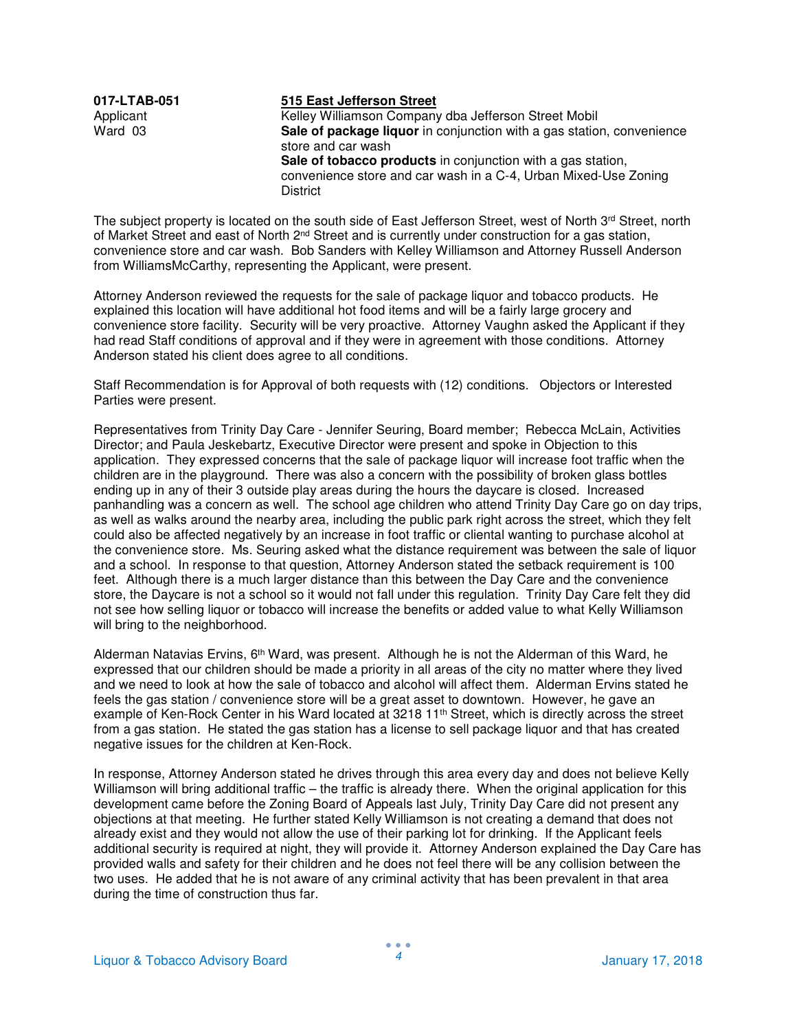## **017-LTAB-051 515 East Jefferson Street**

Applicant **Kelley Williamson Company dba Jefferson Street Mobil**<br>
Ward 03 **Sale of package liquor** in conjunction with a gas station **Sale of package liquor** in conjunction with a gas station, convenience store and car wash **Sale of tobacco products** in conjunction with a gas station, convenience store and car wash in a C-4, Urban Mixed-Use Zoning **District** 

The subject property is located on the south side of East Jefferson Street, west of North  $3^{rd}$  Street, north of Market Street and east of North 2<sup>nd</sup> Street and is currently under construction for a gas station, convenience store and car wash. Bob Sanders with Kelley Williamson and Attorney Russell Anderson from WilliamsMcCarthy, representing the Applicant, were present.

Attorney Anderson reviewed the requests for the sale of package liquor and tobacco products. He explained this location will have additional hot food items and will be a fairly large grocery and convenience store facility. Security will be very proactive. Attorney Vaughn asked the Applicant if they had read Staff conditions of approval and if they were in agreement with those conditions. Attorney Anderson stated his client does agree to all conditions.

Staff Recommendation is for Approval of both requests with (12) conditions. Objectors or Interested Parties were present.

Representatives from Trinity Day Care - Jennifer Seuring, Board member; Rebecca McLain, Activities Director; and Paula Jeskebartz, Executive Director were present and spoke in Objection to this application. They expressed concerns that the sale of package liquor will increase foot traffic when the children are in the playground. There was also a concern with the possibility of broken glass bottles ending up in any of their 3 outside play areas during the hours the daycare is closed. Increased panhandling was a concern as well. The school age children who attend Trinity Day Care go on day trips, as well as walks around the nearby area, including the public park right across the street, which they felt could also be affected negatively by an increase in foot traffic or cliental wanting to purchase alcohol at the convenience store. Ms. Seuring asked what the distance requirement was between the sale of liquor and a school. In response to that question, Attorney Anderson stated the setback requirement is 100 feet. Although there is a much larger distance than this between the Day Care and the convenience store, the Daycare is not a school so it would not fall under this regulation. Trinity Day Care felt they did not see how selling liquor or tobacco will increase the benefits or added value to what Kelly Williamson will bring to the neighborhood.

Alderman Natavias Ervins, 6<sup>th</sup> Ward, was present. Although he is not the Alderman of this Ward, he expressed that our children should be made a priority in all areas of the city no matter where they lived and we need to look at how the sale of tobacco and alcohol will affect them. Alderman Ervins stated he feels the gas station / convenience store will be a great asset to downtown. However, he gave an example of Ken-Rock Center in his Ward located at 3218 11<sup>th</sup> Street, which is directly across the street from a gas station. He stated the gas station has a license to sell package liquor and that has created negative issues for the children at Ken-Rock.

In response, Attorney Anderson stated he drives through this area every day and does not believe Kelly Williamson will bring additional traffic – the traffic is already there. When the original application for this development came before the Zoning Board of Appeals last July, Trinity Day Care did not present any objections at that meeting. He further stated Kelly Williamson is not creating a demand that does not already exist and they would not allow the use of their parking lot for drinking. If the Applicant feels additional security is required at night, they will provide it. Attorney Anderson explained the Day Care has provided walls and safety for their children and he does not feel there will be any collision between the two uses. He added that he is not aware of any criminal activity that has been prevalent in that area during the time of construction thus far.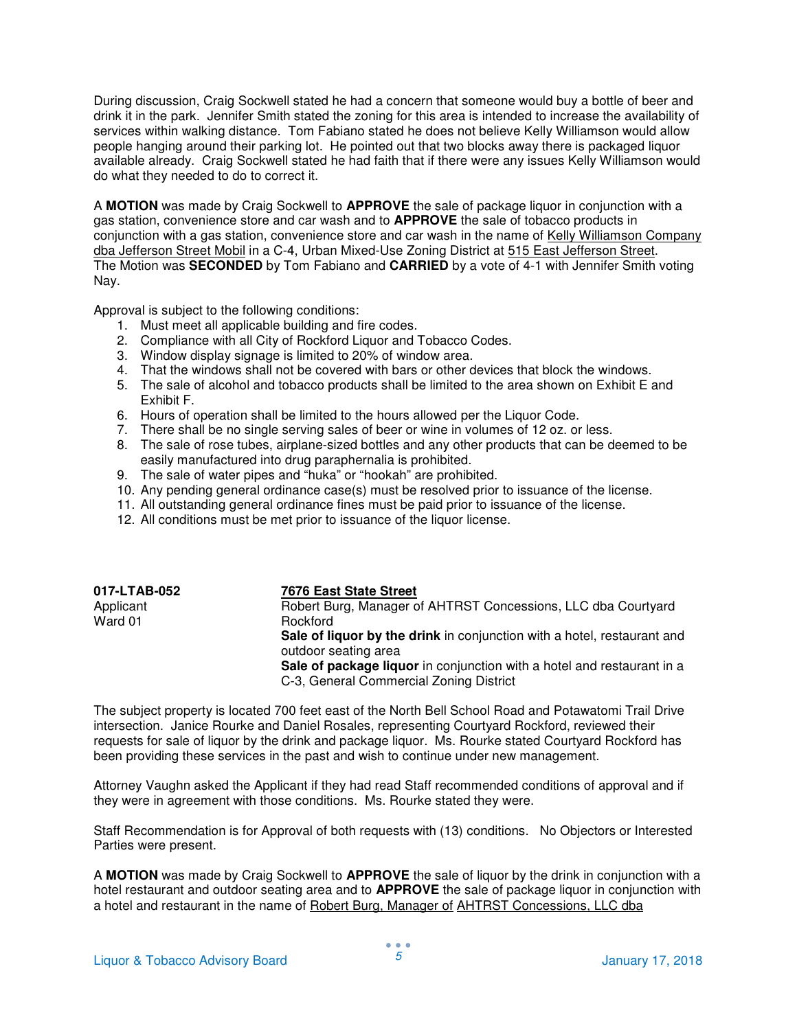During discussion, Craig Sockwell stated he had a concern that someone would buy a bottle of beer and drink it in the park. Jennifer Smith stated the zoning for this area is intended to increase the availability of services within walking distance. Tom Fabiano stated he does not believe Kelly Williamson would allow people hanging around their parking lot. He pointed out that two blocks away there is packaged liquor available already. Craig Sockwell stated he had faith that if there were any issues Kelly Williamson would do what they needed to do to correct it.

A **MOTION** was made by Craig Sockwell to **APPROVE** the sale of package liquor in conjunction with a gas station, convenience store and car wash and to **APPROVE** the sale of tobacco products in conjunction with a gas station, convenience store and car wash in the name of Kelly Williamson Company dba Jefferson Street Mobil in a C-4, Urban Mixed-Use Zoning District at 515 East Jefferson Street. The Motion was **SECONDED** by Tom Fabiano and **CARRIED** by a vote of 4-1 with Jennifer Smith voting Nay.

Approval is subject to the following conditions:

- 1. Must meet all applicable building and fire codes.
- 2. Compliance with all City of Rockford Liquor and Tobacco Codes.
- 3. Window display signage is limited to 20% of window area.
- 4. That the windows shall not be covered with bars or other devices that block the windows.
- 5. The sale of alcohol and tobacco products shall be limited to the area shown on Exhibit E and Exhibit F.
- 6. Hours of operation shall be limited to the hours allowed per the Liquor Code.
- 7. There shall be no single serving sales of beer or wine in volumes of 12 oz. or less.
- 8. The sale of rose tubes, airplane-sized bottles and any other products that can be deemed to be easily manufactured into drug paraphernalia is prohibited.
- 9. The sale of water pipes and "huka" or "hookah" are prohibited.
- 10. Any pending general ordinance case(s) must be resolved prior to issuance of the license.
- 11. All outstanding general ordinance fines must be paid prior to issuance of the license.
- 12. All conditions must be met prior to issuance of the liquor license.

| 017-LTAB-052 | 7676 East State Street                                                  |
|--------------|-------------------------------------------------------------------------|
| Applicant    | Robert Burg, Manager of AHTRST Concessions, LLC dba Courtyard           |
| Ward 01      | Rockford                                                                |
|              | Sale of liquor by the drink in conjunction with a hotel, restaurant and |
|              | outdoor seating area                                                    |
|              | Sale of package liquor in conjunction with a hotel and restaurant in a  |
|              | C-3, General Commercial Zoning District                                 |

The subject property is located 700 feet east of the North Bell School Road and Potawatomi Trail Drive intersection. Janice Rourke and Daniel Rosales, representing Courtyard Rockford, reviewed their requests for sale of liquor by the drink and package liquor. Ms. Rourke stated Courtyard Rockford has been providing these services in the past and wish to continue under new management.

Attorney Vaughn asked the Applicant if they had read Staff recommended conditions of approval and if they were in agreement with those conditions. Ms. Rourke stated they were.

Staff Recommendation is for Approval of both requests with (13) conditions. No Objectors or Interested Parties were present.

A **MOTION** was made by Craig Sockwell to **APPROVE** the sale of liquor by the drink in conjunction with a hotel restaurant and outdoor seating area and to **APPROVE** the sale of package liquor in conjunction with a hotel and restaurant in the name of Robert Burg, Manager of AHTRST Concessions, LLC dba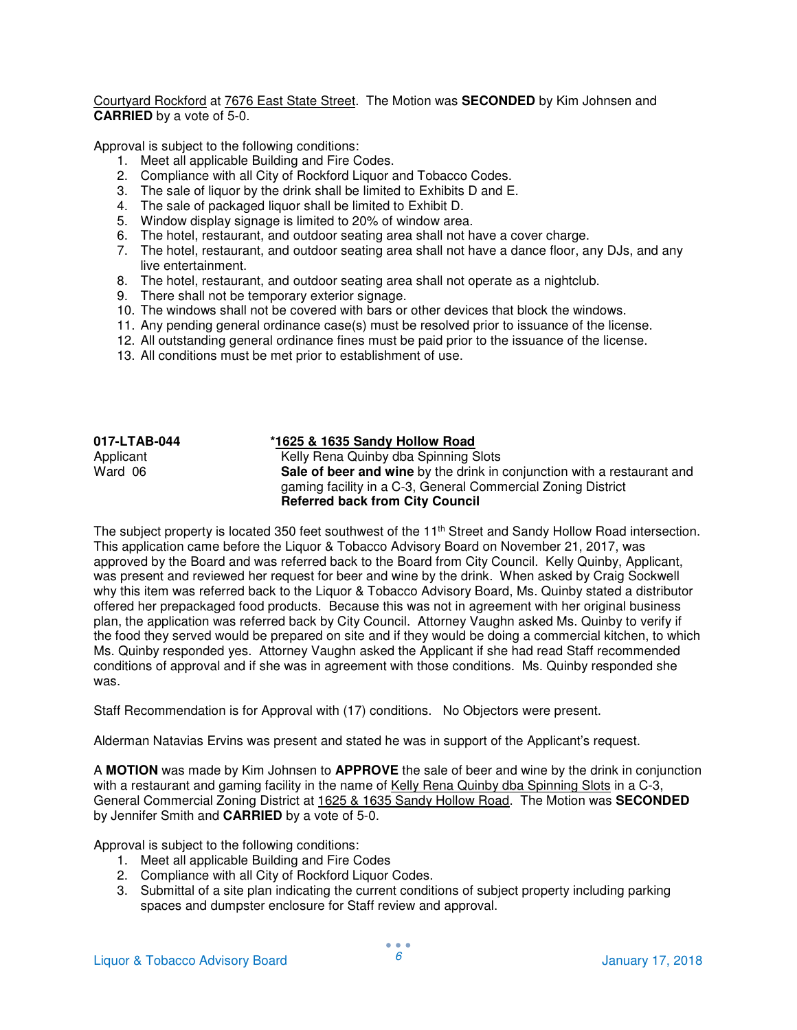Courtyard Rockford at 7676 East State Street. The Motion was **SECONDED** by Kim Johnsen and **CARRIED** by a vote of 5-0.

Approval is subject to the following conditions:

- 1. Meet all applicable Building and Fire Codes.
- 2. Compliance with all City of Rockford Liquor and Tobacco Codes.
- 3. The sale of liquor by the drink shall be limited to Exhibits D and E.
- 4. The sale of packaged liquor shall be limited to Exhibit D.
- 5. Window display signage is limited to 20% of window area.
- 6. The hotel, restaurant, and outdoor seating area shall not have a cover charge.
- 7. The hotel, restaurant, and outdoor seating area shall not have a dance floor, any DJs, and any live entertainment.
- 8. The hotel, restaurant, and outdoor seating area shall not operate as a nightclub.
- 9. There shall not be temporary exterior signage.
- 10. The windows shall not be covered with bars or other devices that block the windows.
- 11. Any pending general ordinance case(s) must be resolved prior to issuance of the license.
- 12. All outstanding general ordinance fines must be paid prior to the issuance of the license.
- 13. All conditions must be met prior to establishment of use.

| 017-LTAB-044 | *1625 & 1635 Sandy Hollow Road                                                                                                                                                    |
|--------------|-----------------------------------------------------------------------------------------------------------------------------------------------------------------------------------|
| Applicant    | Kelly Rena Quinby dba Spinning Slots                                                                                                                                              |
| Ward 06      | Sale of beer and wine by the drink in conjunction with a restaurant and<br>gaming facility in a C-3, General Commercial Zoning District<br><b>Referred back from City Council</b> |

The subject property is located 350 feet southwest of the 11<sup>th</sup> Street and Sandy Hollow Road intersection. This application came before the Liquor & Tobacco Advisory Board on November 21, 2017, was approved by the Board and was referred back to the Board from City Council. Kelly Quinby, Applicant, was present and reviewed her request for beer and wine by the drink. When asked by Craig Sockwell why this item was referred back to the Liquor & Tobacco Advisory Board, Ms. Quinby stated a distributor offered her prepackaged food products. Because this was not in agreement with her original business plan, the application was referred back by City Council. Attorney Vaughn asked Ms. Quinby to verify if the food they served would be prepared on site and if they would be doing a commercial kitchen, to which Ms. Quinby responded yes. Attorney Vaughn asked the Applicant if she had read Staff recommended conditions of approval and if she was in agreement with those conditions. Ms. Quinby responded she was.

Staff Recommendation is for Approval with (17) conditions. No Objectors were present.

Alderman Natavias Ervins was present and stated he was in support of the Applicant's request.

A **MOTION** was made by Kim Johnsen to **APPROVE** the sale of beer and wine by the drink in conjunction with a restaurant and gaming facility in the name of Kelly Rena Quinby dba Spinning Slots in a C-3, General Commercial Zoning District at 1625 & 1635 Sandy Hollow Road. The Motion was **SECONDED**  by Jennifer Smith and **CARRIED** by a vote of 5-0.

Approval is subject to the following conditions:

- 1. Meet all applicable Building and Fire Codes
- 2. Compliance with all City of Rockford Liquor Codes.
- 3. Submittal of a site plan indicating the current conditions of subject property including parking spaces and dumpster enclosure for Staff review and approval.